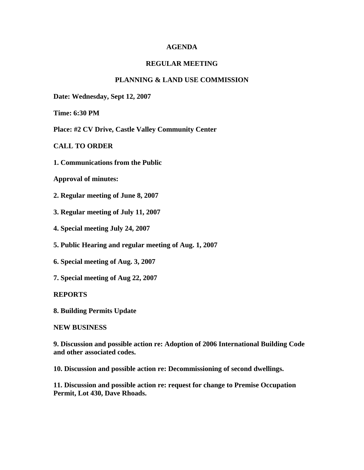## **AGENDA**

# **REGULAR MEETING**

## **PLANNING & LAND USE COMMISSION**

**Date: Wednesday, Sept 12, 2007** 

**Time: 6:30 PM** 

**Place: #2 CV Drive, Castle Valley Community Center** 

**CALL TO ORDER**

**1. Communications from the Public**

**Approval of minutes:**

**2. Regular meeting of June 8, 2007**

- **3. Regular meeting of July 11, 2007**
- **4. Special meeting July 24, 2007**
- **5. Public Hearing and regular meeting of Aug. 1, 2007**
- **6. Special meeting of Aug. 3, 2007**
- **7. Special meeting of Aug 22, 2007**

### **REPORTS**

**8. Building Permits Update**

#### **NEW BUSINESS**

**9. Discussion and possible action re: Adoption of 2006 International Building Code and other associated codes.**

**10. Discussion and possible action re: Decommissioning of second dwellings.** 

**11. Discussion and possible action re: request for change to Premise Occupation Permit, Lot 430, Dave Rhoads.**